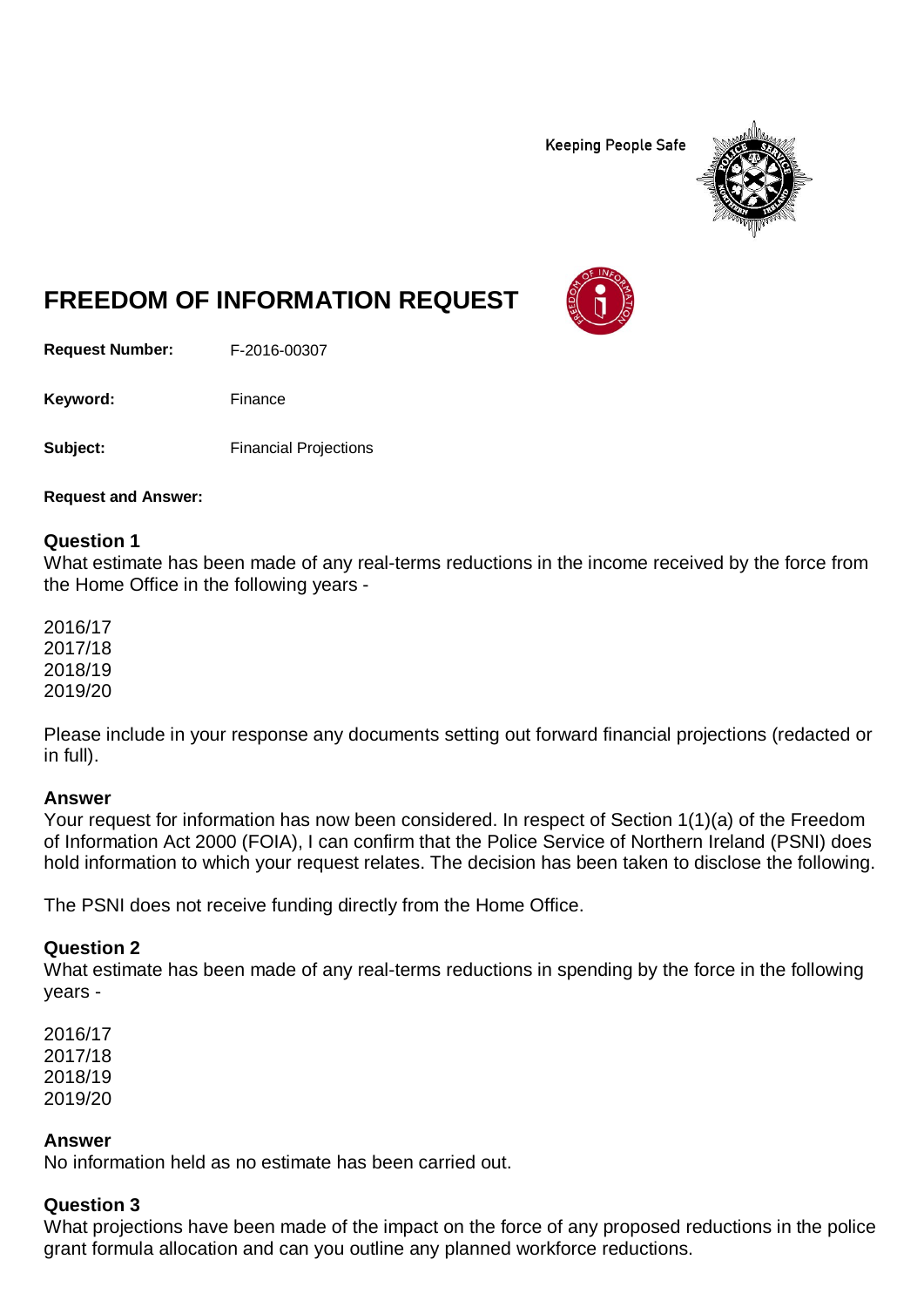**Keeping People Safe** 



# **FREEDOM OF INFORMATION REQUEST**

**Request Number:** F-2016-00307

Keyword: Finance

**Subject:** Financial Projections

**Request and Answer:**

#### **Question 1**

What estimate has been made of any real-terms reductions in the income received by the force from the Home Office in the following years -

2016/17 2017/18 2018/19 2019/20

Please include in your response any documents setting out forward financial projections (redacted or in full).

#### **Answer**

Your request for information has now been considered. In respect of Section 1(1)(a) of the Freedom of Information Act 2000 (FOIA), I can confirm that the Police Service of Northern Ireland (PSNI) does hold information to which your request relates. The decision has been taken to disclose the following.

The PSNI does not receive funding directly from the Home Office.

#### **Question 2**

What estimate has been made of any real-terms reductions in spending by the force in the following years -

2016/17 2017/18 2018/19 2019/20

#### **Answer**

No information held as no estimate has been carried out.

#### **Question 3**

What projections have been made of the impact on the force of any proposed reductions in the police grant formula allocation and can you outline any planned workforce reductions.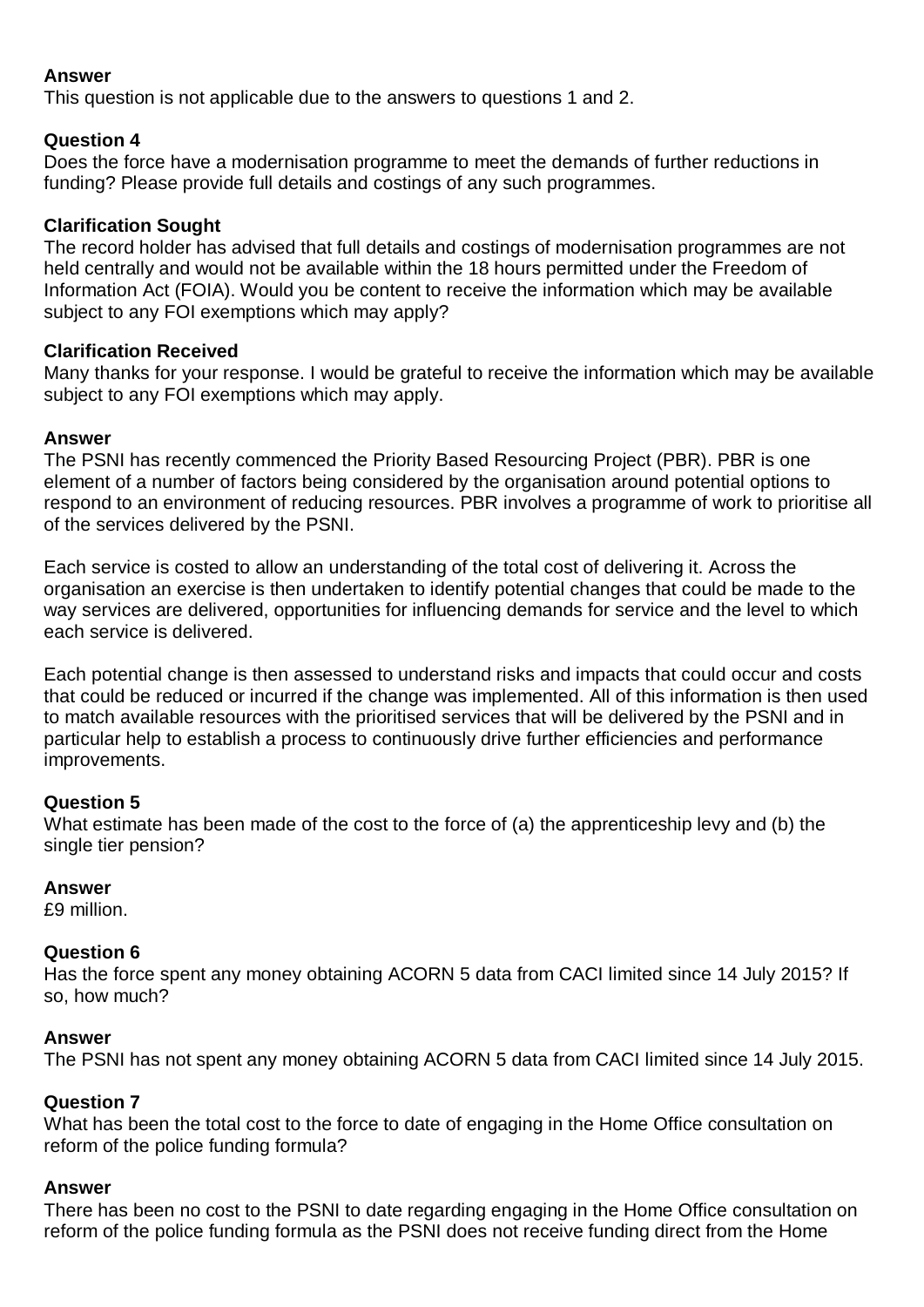## **Answer**

This question is not applicable due to the answers to questions 1 and 2.

## **Question 4**

Does the force have a modernisation programme to meet the demands of further reductions in funding? Please provide full details and costings of any such programmes.

## **Clarification Sought**

The record holder has advised that full details and costings of modernisation programmes are not held centrally and would not be available within the 18 hours permitted under the Freedom of Information Act (FOIA). Would you be content to receive the information which may be available subject to any FOI exemptions which may apply?

## **Clarification Received**

Many thanks for your response. I would be grateful to receive the information which may be available subject to any FOI exemptions which may apply.

## **Answer**

The PSNI has recently commenced the Priority Based Resourcing Project (PBR). PBR is one element of a number of factors being considered by the organisation around potential options to respond to an environment of reducing resources. PBR involves a programme of work to prioritise all of the services delivered by the PSNI.

Each service is costed to allow an understanding of the total cost of delivering it. Across the organisation an exercise is then undertaken to identify potential changes that could be made to the way services are delivered, opportunities for influencing demands for service and the level to which each service is delivered.

Each potential change is then assessed to understand risks and impacts that could occur and costs that could be reduced or incurred if the change was implemented. All of this information is then used to match available resources with the prioritised services that will be delivered by the PSNI and in particular help to establish a process to continuously drive further efficiencies and performance improvements.

# **Question 5**

What estimate has been made of the cost to the force of (a) the apprenticeship levy and (b) the single tier pension?

## **Answer**

£9 million.

## **Question 6**

Has the force spent any money obtaining ACORN 5 data from CACI limited since 14 July 2015? If so, how much?

## **Answer**

The PSNI has not spent any money obtaining ACORN 5 data from CACI limited since 14 July 2015.

# **Question 7**

What has been the total cost to the force to date of engaging in the Home Office consultation on reform of the police funding formula?

## **Answer**

There has been no cost to the PSNI to date regarding engaging in the Home Office consultation on reform of the police funding formula as the PSNI does not receive funding direct from the Home